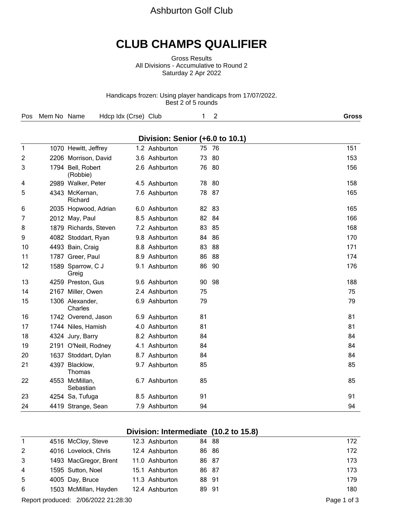## Ashburton Golf Club

# **CLUB CHAMPS QUALIFIER**

Gross Results All Divisions - Accumulative to Round 2 Saturday 2 Apr 2022

Handicaps frozen: Using player handicaps from 17/07/2022. Best 2 of 5 rounds

| Pos Mem No Name Hdcp Idx (Crse) Club |  |  |  |  | Gross |
|--------------------------------------|--|--|--|--|-------|
|--------------------------------------|--|--|--|--|-------|

|                |                               | Division: Senior (+6.0 to 10.1) |    |       |     |
|----------------|-------------------------------|---------------------------------|----|-------|-----|
| $\mathbf{1}$   | 1070 Hewitt, Jeffrey          | 1.2 Ashburton                   | 75 | 76    | 151 |
| $\overline{c}$ | 2206 Morrison, David          | 3.6 Ashburton                   |    | 73 80 | 153 |
| 3              | 1794 Bell, Robert<br>(Robbie) | 2.6 Ashburton                   | 76 | -80   | 156 |
| 4              | 2989 Walker, Peter            | 4.5 Ashburton                   | 78 | -80   | 158 |
| 5              | 4343 McKernan,<br>Richard     | 7.6 Ashburton                   | 78 | -87   | 165 |
| 6              | 2035 Hopwood, Adrian          | 6.0 Ashburton                   | 82 | -83   | 165 |
| 7              | 2012 May, Paul                | 8.5 Ashburton                   | 82 | 84    | 166 |
| 8              | 1879 Richards, Steven         | 7.2 Ashburton                   | 83 | 85    | 168 |
| 9              | 4082 Stoddart, Ryan           | 9.8 Ashburton                   | 84 | 86    | 170 |
| 10             | 4493 Bain, Craig              | 8.8 Ashburton                   | 83 | 88    | 171 |
| 11             | 1787 Greer, Paul              | 8.9 Ashburton                   | 86 | 88    | 174 |
| 12             | 1589 Sparrow, C J<br>Greig    | 9.1 Ashburton                   | 86 | 90    | 176 |
| 13             | 4259 Preston, Gus             | 9.6 Ashburton                   | 90 | 98    | 188 |
| 14             | 2167 Miller, Owen             | 2.4 Ashburton                   | 75 |       | 75  |
| 15             | 1306 Alexander,<br>Charles    | 6.9 Ashburton                   | 79 |       | 79  |
| 16             | 1742 Overend, Jason           | 6.9 Ashburton                   | 81 |       | 81  |
| 17             | 1744 Niles, Hamish            | 4.0 Ashburton                   | 81 |       | 81  |
| 18             | 4324 Jury, Barry              | 8.2 Ashburton                   | 84 |       | 84  |
| 19             | 2191 O'Neill, Rodney          | 4.1 Ashburton                   | 84 |       | 84  |
| 20             | 1637 Stoddart, Dylan          | 8.7 Ashburton                   | 84 |       | 84  |
| 21             | 4397 Blacklow,<br>Thomas      | 9.7 Ashburton                   | 85 |       | 85  |
| 22             | 4553 McMillan,<br>Sebastian   | 6.7 Ashburton                   | 85 |       | 85  |
| 23             | 4254 Sa, Tufuga               | 8.5 Ashburton                   | 91 |       | 91  |
| 24             | 4419 Strange, Sean            | 7.9 Ashburton                   | 94 |       | 94  |

#### **Division: Intermediate (10.2 to 15.8)**

| $\mathbf{1}$   | 4516 McCloy, Steve                  | 12.3 Ashburton | 84 88 | 172         |
|----------------|-------------------------------------|----------------|-------|-------------|
| $\overline{2}$ | 4016 Lovelock, Chris                | 12.4 Ashburton | 86 86 | 172         |
| 3              | 1493 MacGregor, Brent               | 11.0 Ashburton | 86 87 | 173         |
| $\overline{4}$ | 1595 Sutton, Noel                   | 15.1 Ashburton | 86 87 | 173         |
| $5^{\circ}$    | 4005 Day, Bruce                     | 11.3 Ashburton | 88 91 | 179         |
| 6              | 1503 McMillan, Hayden               | 12.4 Ashburton | 89 91 | 180         |
|                | Report produced: 2/06/2022 21:28:30 |                |       | Page 1 of 3 |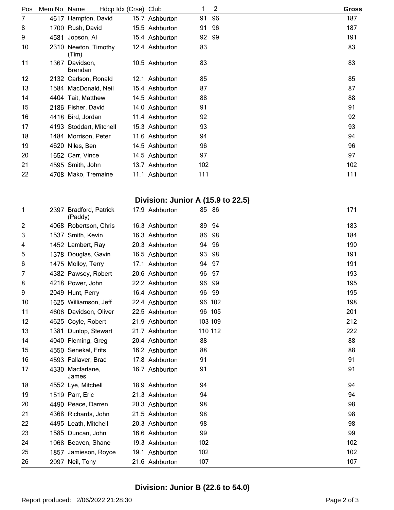| Pos | Mem No Name |                               | Hdcp Idx (Crse) Club |                | 1     | 2   | <b>Gross</b> |
|-----|-------------|-------------------------------|----------------------|----------------|-------|-----|--------------|
| 7   |             | 4617 Hampton, David           |                      | 15.7 Ashburton | 91    | 96  | 187          |
| 8   |             | 1700 Rush, David              |                      | 15.5 Ashburton | 91    | -96 | 187          |
| 9   | 4581        | Jopson, Al                    |                      | 15.4 Ashburton | 92 99 |     | 191          |
| 10  |             | 2310 Newton, Timothy<br>(Tim) |                      | 12.4 Ashburton | 83    |     | 83           |
| 11  | 1367        | Davidson,<br><b>Brendan</b>   |                      | 10.5 Ashburton | 83    |     | 83           |
| 12  |             | 2132 Carlson, Ronald          |                      | 12.1 Ashburton | 85    |     | 85           |
| 13  |             | 1584 MacDonald, Neil          |                      | 15.4 Ashburton | 87    |     | 87           |
| 14  |             | 4404 Tait, Matthew            |                      | 14.5 Ashburton | 88    |     | 88           |
| 15  |             | 2186 Fisher, David            |                      | 14.0 Ashburton | 91    |     | 91           |
| 16  |             | 4418 Bird, Jordan             |                      | 11.4 Ashburton | 92    |     | 92           |
| 17  |             | 4193 Stoddart, Mitchell       |                      | 15.3 Ashburton | 93    |     | 93           |
| 18  |             | 1484 Morrison, Peter          |                      | 11.6 Ashburton | 94    |     | 94           |
| 19  |             | 4620 Niles, Ben               |                      | 14.5 Ashburton | 96    |     | 96           |
| 20  |             | 1652 Carr, Vince              |                      | 14.5 Ashburton | 97    |     | 97           |
| 21  |             | 4595 Smith, John              |                      | 13.7 Ashburton | 102   |     | 102          |
| 22  |             | 4708 Mako, Tremaine           |                      | 11.1 Ashburton | 111   |     | 111          |

## **Division: Junior A (15.9 to 22.5)**

| 1              | 2397 Bradford, Patrick<br>(Paddy) | 17.9 Ashburton |       | 85 86   | 171 |  |
|----------------|-----------------------------------|----------------|-------|---------|-----|--|
| $\overline{c}$ | 4068 Robertson, Chris             | 16.3 Ashburton | 89    | 94      | 183 |  |
| 3              | 1537 Smith, Kevin                 | 16.3 Ashburton | 86    | -98     | 184 |  |
| 4              | 1452 Lambert, Ray                 | 20.3 Ashburton | 94    | 96      | 190 |  |
| 5              | 1378 Douglas, Gavin               | 16.5 Ashburton | 93    | 98      | 191 |  |
| 6              | 1475 Molloy, Terry                | 17.1 Ashburton | 94 97 |         | 191 |  |
| 7              | 4382 Pawsey, Robert               | 20.6 Ashburton | 96    | -97     | 193 |  |
| 8              | 4218 Power, John                  | 22.2 Ashburton | 96    | 99      | 195 |  |
| 9              | 2049 Hunt, Perry                  | 16.4 Ashburton | 96    | -99     | 195 |  |
| 10             | 1625 Williamson, Jeff             | 22.4 Ashburton |       | 96 102  | 198 |  |
| 11             | 4606 Davidson, Oliver             | 22.5 Ashburton |       | 96 105  | 201 |  |
| 12             | 4625 Coyle, Robert                | 21.9 Ashburton |       | 103 109 | 212 |  |
| 13             | 1381 Dunlop, Stewart              | 21.7 Ashburton |       | 110 112 | 222 |  |
| 14             | 4040 Fleming, Greg                | 20.4 Ashburton | 88    |         | 88  |  |
| 15             | 4550 Senekal, Frits               | 16.2 Ashburton | 88    |         | 88  |  |
| 16             | 4593 Fallaver, Brad               | 17.8 Ashburton | 91    |         | 91  |  |
| 17             | 4330 Macfarlane,<br>James         | 16.7 Ashburton | 91    |         | 91  |  |
| 18             | 4552 Lye, Mitchell                | 18.9 Ashburton | 94    |         | 94  |  |
| 19             | 1519 Parr, Eric                   | 21.3 Ashburton | 94    |         | 94  |  |
| 20             | 4490 Peace, Darren                | 20.3 Ashburton | 98    |         | 98  |  |
| 21             | 4368 Richards, John               | 21.5 Ashburton | 98    |         | 98  |  |
| 22             | 4495 Leath, Mitchell              | 20.3 Ashburton | 98    |         | 98  |  |
| 23             | 1585 Duncan, John                 | 16.6 Ashburton | 99    |         | 99  |  |
| 24             | 1068 Beaven, Shane                | 19.3 Ashburton | 102   |         | 102 |  |
| 25             | 1857 Jamieson, Royce              | 19.1 Ashburton | 102   |         | 102 |  |
| 26             | 2097 Neil, Tony                   | 21.6 Ashburton | 107   |         | 107 |  |

# **Division: Junior B (22.6 to 54.0)**